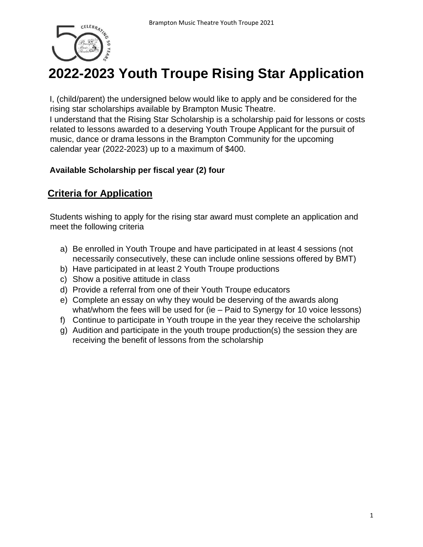

## **2022-2023 Youth Troupe Rising Star Application**

I, (child/parent) the undersigned below would like to apply and be considered for the rising star scholarships available by Brampton Music Theatre.

I understand that the Rising Star Scholarship is a scholarship paid for lessons or costs related to lessons awarded to a deserving Youth Troupe Applicant for the pursuit of music, dance or drama lessons in the Brampton Community for the upcoming calendar year (2022-2023) up to a maximum of \$400.

## **Available Scholarship per fiscal year (2) four**

## **Criteria for Application**

Students wishing to apply for the rising star award must complete an application and meet the following criteria

- a) Be enrolled in Youth Troupe and have participated in at least 4 sessions (not necessarily consecutively, these can include online sessions offered by BMT)
- b) Have participated in at least 2 Youth Troupe productions
- c) Show a positive attitude in class
- d) Provide a referral from one of their Youth Troupe educators
- e) Complete an essay on why they would be deserving of the awards along what/whom the fees will be used for (ie – Paid to Synergy for 10 voice lessons)
- f) Continue to participate in Youth troupe in the year they receive the scholarship
- g) Audition and participate in the youth troupe production(s) the session they are receiving the benefit of lessons from the scholarship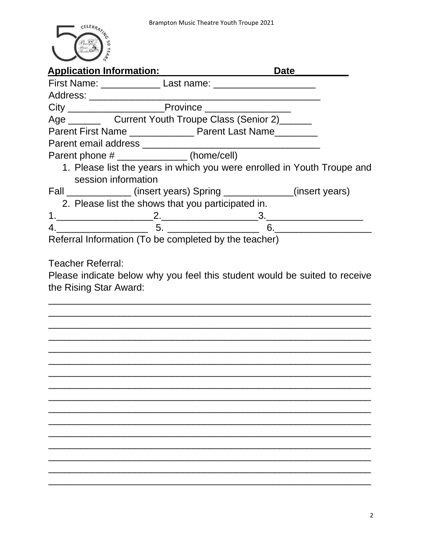

|                     | Application Information: Application Information:            | Date<br><u>Date</u>                                                     |
|---------------------|--------------------------------------------------------------|-------------------------------------------------------------------------|
|                     |                                                              |                                                                         |
|                     |                                                              |                                                                         |
|                     |                                                              |                                                                         |
|                     | Age ___________ Current Youth Troupe Class (Senior 2)_______ |                                                                         |
|                     | Parent First Name ________________ Parent Last Name          |                                                                         |
|                     |                                                              |                                                                         |
|                     | Parent phone # ______________(home/cell)                     |                                                                         |
| session information |                                                              | 1. Please list the years in which you were enrolled in Youth Troupe and |
|                     |                                                              | Fall _______________(insert years) Spring _____________(insert years)   |
|                     | 2. Please list the shows that you participated in.           |                                                                         |
|                     |                                                              |                                                                         |
|                     |                                                              | $4.$ 6.                                                                 |
|                     |                                                              |                                                                         |
|                     |                                                              |                                                                         |
|                     |                                                              |                                                                         |
|                     |                                                              |                                                                         |
|                     |                                                              |                                                                         |
|                     |                                                              |                                                                         |
|                     |                                                              |                                                                         |
|                     |                                                              |                                                                         |
|                     |                                                              |                                                                         |
|                     |                                                              |                                                                         |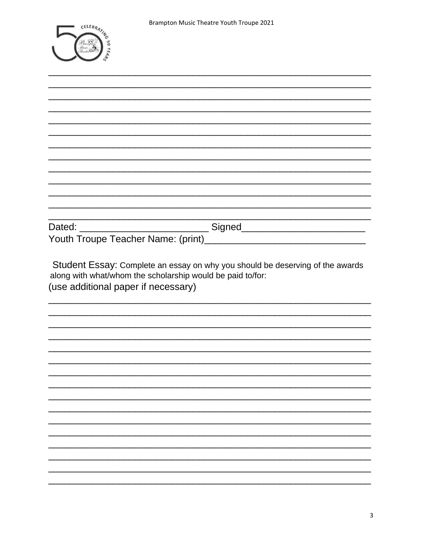|                   | CELEBRATIA              |
|-------------------|-------------------------|
|                   |                         |
|                   | Dram<br>Music<br>Theatr |
|                   |                         |
| <b>CONTRACTOR</b> | <b>MARKET</b>           |

| Student Essay: Complete an essay on why you should be deserving of the awards<br>along with what/whom the scholarship would be paid to/for:<br>(use additional paper if necessary) |  |
|------------------------------------------------------------------------------------------------------------------------------------------------------------------------------------|--|
|                                                                                                                                                                                    |  |
|                                                                                                                                                                                    |  |
|                                                                                                                                                                                    |  |
|                                                                                                                                                                                    |  |
|                                                                                                                                                                                    |  |
|                                                                                                                                                                                    |  |
|                                                                                                                                                                                    |  |
|                                                                                                                                                                                    |  |
|                                                                                                                                                                                    |  |
|                                                                                                                                                                                    |  |
|                                                                                                                                                                                    |  |
|                                                                                                                                                                                    |  |
|                                                                                                                                                                                    |  |
|                                                                                                                                                                                    |  |
|                                                                                                                                                                                    |  |